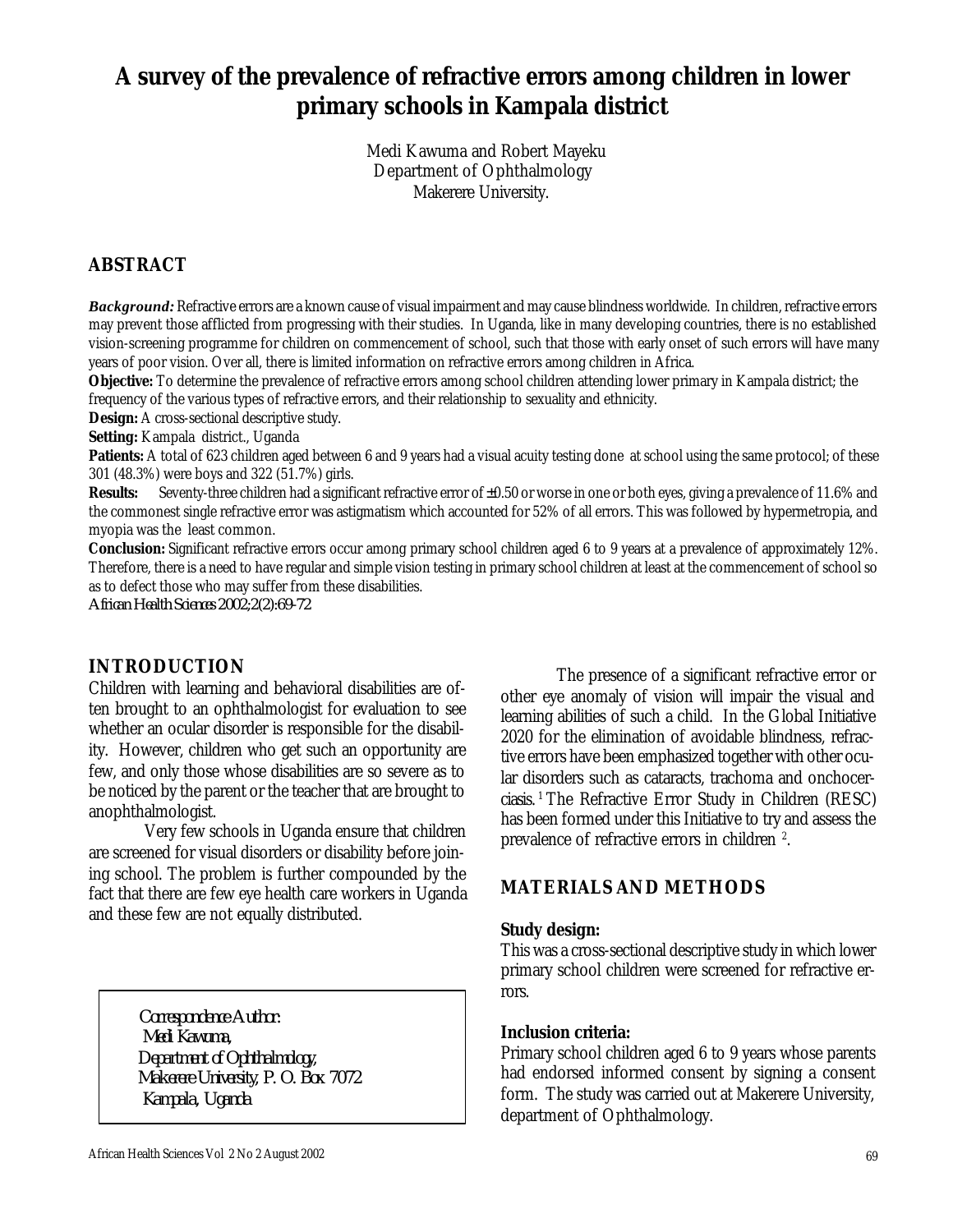# **A survey of the prevalence of refractive errors among children in lower primary schools in Kampala district**

 Medi Kawuma and Robert Mayeku Department of Ophthalmology Makerere University.

# **ABSTRACT**

*Background:* Refractive errors are a known cause of visual impairment and may cause blindness worldwide. In children, refractive errors may prevent those afflicted from progressing with their studies. In Uganda, like in many developing countries, there is no established vision-screening programme for children on commencement of school, such that those with early onset of such errors will have many years of poor vision. Over all, there is limited information on refractive errors among children in Africa.

**Objective:** To determine the prevalence of refractive errors among school children attending lower primary in Kampala district; the frequency of the various types of refractive errors, and their relationship to sexuality and ethnicity.

**Design:** A cross-sectional descriptive study.

*Setting:* Kampala district., Uganda

**Patients:** A total of 623 children aged between 6 and 9 years had a visual acuity testing done at school using the same protocol; of these 301 (48.3%) were boys and 322 (51.7%) girls.

*Results:* Seventy-three children had a significant refractive error of  $\pm 0.50$  or worse in one or both eyes, giving a prevalence of 11.6% and the commonest single refractive error was astigmatism which accounted for 52% of all errors. This was followed by hypermetropia, and myopia was the least common.

*Conclusion:* Significant refractive errors occur among primary school children aged 6 to 9 years at a prevalence of approximately 12%. Therefore, there is a need to have regular and simple vision testing in primary school children at least at the commencement of school so as to defect those who may suffer from these disabilities.

*African Health Sciences 2002;2(2):69-72*

# **INTRODUCTION**

Children with learning and behavioral disabilities are often brought to an ophthalmologist for evaluation to see whether an ocular disorder is responsible for the disability. However, children who get such an opportunity are few, and only those whose disabilities are so severe as to be noticed by the parent or the teacher that are brought to anophthalmologist.

Very few schools in Uganda ensure that children are screened for visual disorders or disability before joining school. The problem is further compounded by the fact that there are few eye health care workers in Uganda and these few are not equally distributed.

> *Correspondence Author: Medi Kawuma, Department of Ophthalmology, Makerere University, P. O. Box 7072 Kampala, Uganda*

The presence of a significant refractive error or other eye anomaly of vision will impair the visual and learning abilities of such a child. In the Global Initiative 2020 for the elimination of avoidable blindness, refractive errors have been emphasized together with other ocular disorders such as cataracts, trachoma and onchocerciasis.<sup>1</sup>The Refractive Error Study in Children (RESC) has been formed under this Initiative to try and assess the prevalence of refractive errors in children<sup>2</sup>.

# **MATERIALS AND METHODS**

#### **Study design:**

This was a cross-sectional descriptive study in which lower primary school children were screened for refractive errors.

#### **Inclusion criteria:**

Primary school children aged 6 to 9 years whose parents had endorsed informed consent by signing a consent form. The study was carried out at Makerere University, department of Ophthalmology.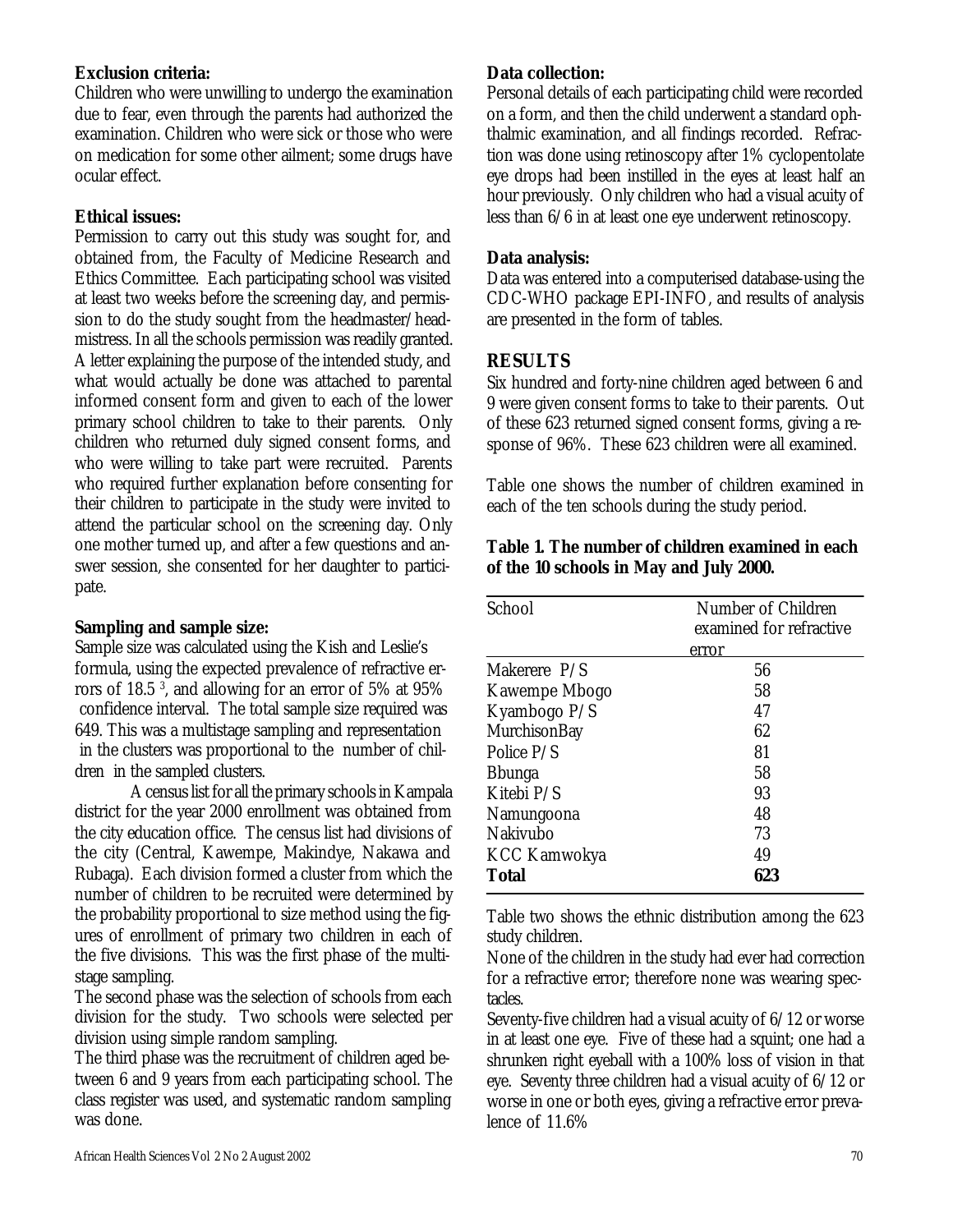### **Exclusion criteria:**

Children who were unwilling to undergo the examination due to fear, even through the parents had authorized the examination. Children who were sick or those who were on medication for some other ailment; some drugs have ocular effect.

#### **Ethical issues:**

Permission to carry out this study was sought for, and obtained from, the Faculty of Medicine Research and Ethics Committee. Each participating school was visited at least two weeks before the screening day, and permission to do the study sought from the headmaster/headmistress. In all the schools permission was readily granted. A letter explaining the purpose of the intended study, and what would actually be done was attached to parental informed consent form and given to each of the lower primary school children to take to their parents. Only children who returned duly signed consent forms, and who were willing to take part were recruited. Parents who required further explanation before consenting for their children to participate in the study were invited to attend the particular school on the screening day. Only one mother turned up, and after a few questions and answer session, she consented for her daughter to participate.

#### **Sampling and sample size:**

Sample size was calculated using the Kish and Leslie's formula, using the expected prevalence of refractive errors of 18.5 <sup>3</sup> , and allowing for an error of 5% at 95% confidence interval. The total sample size required was 649. This was a multistage sampling and representation in the clusters was proportional to the number of children in the sampled clusters.

A census list for all the primary schools in Kampala district for the year 2000 enrollment was obtained from the city education office. The census list had divisions of the city (Central, Kawempe, Makindye, Nakawa and Rubaga). Each division formed a cluster from which the number of children to be recruited were determined by the probability proportional to size method using the figures of enrollment of primary two children in each of the five divisions. This was the first phase of the multistage sampling.

The second phase was the selection of schools from each division for the study. Two schools were selected per division using simple random sampling.

The third phase was the recruitment of children aged between 6 and 9 years from each participating school. The class register was used, and systematic random sampling was done.

#### **Data collection:**

Personal details of each participating child were recorded on a form, and then the child underwent a standard ophthalmic examination, and all findings recorded. Refraction was done using retinoscopy after 1% cyclopentolate eye drops had been instilled in the eyes at least half an hour previously. Only children who had a visual acuity of less than 6/6 in at least one eye underwent retinoscopy.

#### **Data analysis:**

Data was entered into a computerised database-using the CDC-WHO package EPI-INFO, and results of analysis are presented in the form of tables.

#### **RESULTS**

Six hundred and forty-nine children aged between 6 and 9 were given consent forms to take to their parents. Out of these 623 returned signed consent forms, giving a response of 96%. These 623 children were all examined.

Table one shows the number of children examined in each of the ten schools during the study period.

| School         | Number of Children<br>examined for refractive |  |  |
|----------------|-----------------------------------------------|--|--|
|                | error                                         |  |  |
| Makerere P/S   | 56                                            |  |  |
| Kawempe Mbogo  | 58                                            |  |  |
| Kyambogo P/S   | 47                                            |  |  |
| MurchisonBay   | 62                                            |  |  |
| Police P/S     | 81                                            |  |  |
| <b>B</b> bunga | 58                                            |  |  |
| Kitebi P/S     | 93                                            |  |  |
| Namungoona     | 48                                            |  |  |
| Nakivubo       | 73                                            |  |  |
| KCC Kamwokya   | 49                                            |  |  |
| <b>Total</b>   | 623                                           |  |  |

#### **Table 1. The number of children examined in each of the 10 schools in May and July 2000.**

Table two shows the ethnic distribution among the 623 study children.

None of the children in the study had ever had correction for a refractive error; therefore none was wearing spectacles.

Seventy-five children had a visual acuity of 6/12 or worse in at least one eye. Five of these had a squint; one had a shrunken right eyeball with a 100% loss of vision in that eye. Seventy three children had a visual acuity of 6/12 or worse in one or both eyes, giving a refractive error prevalence of 11.6%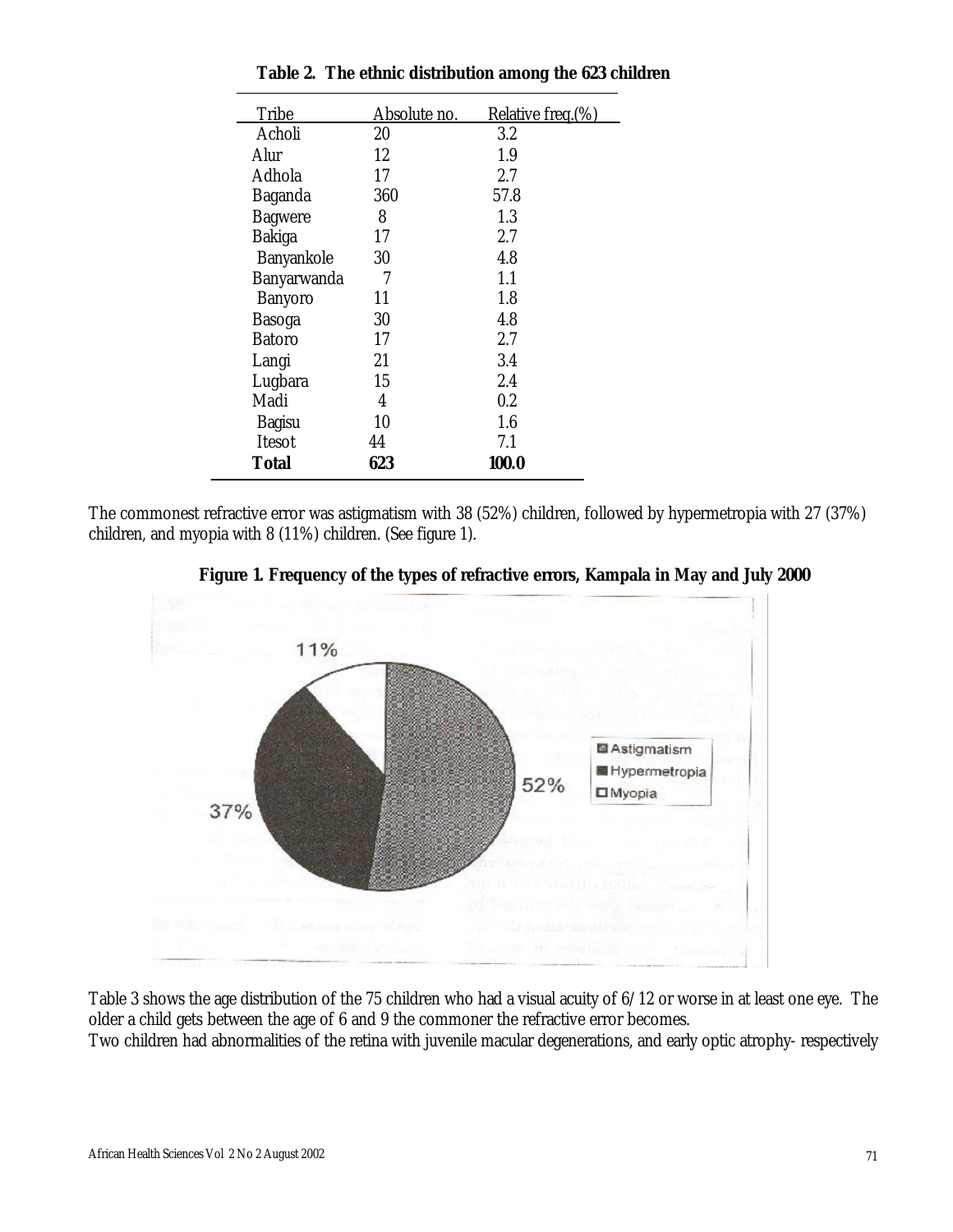| Tribe          | Absolute no. | Relative freq.(%) |
|----------------|--------------|-------------------|
| Acholi         | 20           | 3.2               |
| Alur           | 12           | 1.9               |
| Adhola         | 17           | 2.7               |
| Baganda        | 360          | 57.8              |
| <b>Bagwere</b> | 8            | 1.3               |
| Bakiga         | 17           | 2.7               |
| Banyankole     | 30           | 4.8               |
| Banyarwanda    | 7            | 1.1               |
| Banyoro        | 11           | 1.8               |
| Basoga         | 30           | 4.8               |
| Batoro         | 17           | 2.7               |
| Langi          | 21           | 3.4               |
| Lugbara        | 15           | 2.4               |
| Madi           | 4            | $0.2\,$           |
| Bagisu         | 10           | 1.6               |
| Itesot         | 44           | 7.1               |
| Total          | 623          | 100.0             |

|  |  | Table 2. The ethnic distribution among the 623 children |  |  |  |  |
|--|--|---------------------------------------------------------|--|--|--|--|
|--|--|---------------------------------------------------------|--|--|--|--|

The commonest refractive error was astigmatism with 38 (52%) children, followed by hypermetropia with 27 (37%) children, and myopia with 8 (11%) children. (See figure 1).



 **Figure 1. Frequency of the types of refractive errors, Kampala in May and July 2000**

Table 3 shows the age distribution of the 75 children who had a visual acuity of 6/12 or worse in at least one eye. The older a child gets between the age of 6 and 9 the commoner the refractive error becomes.

Two children had abnormalities of the retina with juvenile macular degenerations, and early optic atrophy- respectively